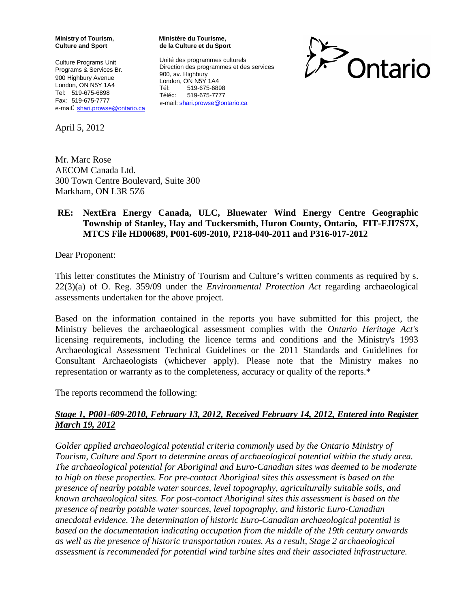**Ministry of Tourism, Culture and Sport**

Culture Programs Unit Programs & Services Br. 900 Highbury Avenue London, ON N5Y 1A4 Tel: 519-675-6898 Fax: 519-675-7777 e-mail: [shari.prowse@ontario.ca](mailto:shari.prowse@ontario.ca)

April 5, 2012

**Ministère du Tourisme, de la Culture et du Sport**

Unité des programmes culturels Direction des programmes et des services 900, av. Highbury London, ON N5Y 1A4 Tél: 519-675-6898 Téléc: 519-675-7777 e-mail: [shari.prowse@ontario.ca](mailto:shari.prowse@ontario.ca)



Mr. Marc Rose AECOM Canada Ltd. 300 Town Centre Boulevard, Suite 300 Markham, ON L3R 5Z6

### **RE: NextEra Energy Canada, ULC, Bluewater Wind Energy Centre Geographic Township of Stanley, Hay and Tuckersmith, Huron County, Ontario, FIT-FJI7S7X, MTCS File HD00689, P001-609-2010, P218-040-2011 and P316-017-2012**

Dear Proponent:

This letter constitutes the Ministry of Tourism and Culture's written comments as required by s. 22(3)(a) of O. Reg. 359/09 under the *Environmental Protection Act* regarding archaeological assessments undertaken for the above project.

Based on the information contained in the reports you have submitted for this project, the Ministry believes the archaeological assessment complies with the *Ontario Heritage Act's* licensing requirements, including the licence terms and conditions and the Ministry's 1993 Archaeological Assessment Technical Guidelines or the 2011 Standards and Guidelines for Consultant Archaeologists (whichever apply). Please note that the Ministry makes no representation or warranty as to the completeness, accuracy or quality of the reports.\*

The reports recommend the following:

### *Stage 1, P001-609-2010, February 13, 2012, Received February 14, 2012, Entered into Register March 19, 2012*

*Golder applied archaeological potential criteria commonly used by the Ontario Ministry of Tourism, Culture and Sport to determine areas of archaeological potential within the study area. The archaeological potential for Aboriginal and Euro-Canadian sites was deemed to be moderate to high on these properties. For pre-contact Aboriginal sites this assessment is based on the presence of nearby potable water sources, level topography, agriculturally suitable soils, and known archaeological sites. For post-contact Aboriginal sites this assessment is based on the presence of nearby potable water sources, level topography, and historic Euro-Canadian anecdotal evidence. The determination of historic Euro-Canadian archaeological potential is based on the documentation indicating occupation from the middle of the 19th century onwards as well as the presence of historic transportation routes. As a result, Stage 2 archaeological assessment is recommended for potential wind turbine sites and their associated infrastructure.*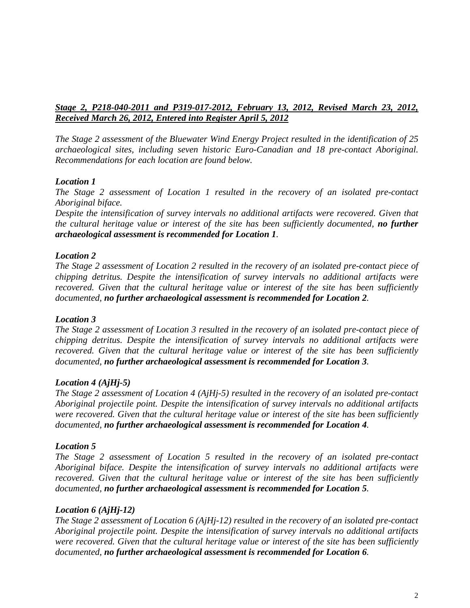## *Stage 2, P218-040-2011 and P319-017-2012, February 13, 2012, Revised March 23, 2012, Received March 26, 2012, Entered into Register April 5, 2012*

*The Stage 2 assessment of the Bluewater Wind Energy Project resulted in the identification of 25 archaeological sites, including seven historic Euro-Canadian and 18 pre-contact Aboriginal. Recommendations for each location are found below.*

## *Location 1*

*The Stage 2 assessment of Location 1 resulted in the recovery of an isolated pre-contact Aboriginal biface.*

*Despite the intensification of survey intervals no additional artifacts were recovered. Given that the cultural heritage value or interest of the site has been sufficiently documented, no further archaeological assessment is recommended for Location 1.*

## *Location 2*

*The Stage 2 assessment of Location 2 resulted in the recovery of an isolated pre-contact piece of chipping detritus. Despite the intensification of survey intervals no additional artifacts were recovered. Given that the cultural heritage value or interest of the site has been sufficiently documented, no further archaeological assessment is recommended for Location 2.*

### *Location 3*

*The Stage 2 assessment of Location 3 resulted in the recovery of an isolated pre-contact piece of chipping detritus. Despite the intensification of survey intervals no additional artifacts were recovered. Given that the cultural heritage value or interest of the site has been sufficiently documented, no further archaeological assessment is recommended for Location 3.*

### *Location 4 (AjHj-5)*

*The Stage 2 assessment of Location 4 (AjHj-5) resulted in the recovery of an isolated pre-contact Aboriginal projectile point. Despite the intensification of survey intervals no additional artifacts were recovered. Given that the cultural heritage value or interest of the site has been sufficiently documented, no further archaeological assessment is recommended for Location 4.*

# *Location 5*

*The Stage 2 assessment of Location 5 resulted in the recovery of an isolated pre-contact Aboriginal biface. Despite the intensification of survey intervals no additional artifacts were recovered. Given that the cultural heritage value or interest of the site has been sufficiently documented, no further archaeological assessment is recommended for Location 5.*

### *Location 6 (AjHj-12)*

*The Stage 2 assessment of Location 6 (AjHj-12) resulted in the recovery of an isolated pre-contact Aboriginal projectile point. Despite the intensification of survey intervals no additional artifacts were recovered. Given that the cultural heritage value or interest of the site has been sufficiently documented, no further archaeological assessment is recommended for Location 6.*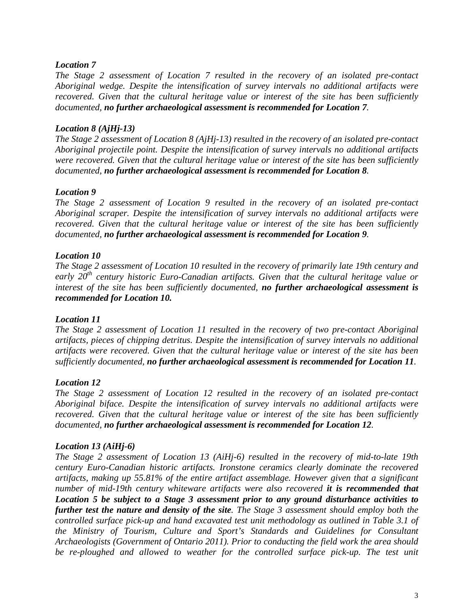### *Location 7*

*The Stage 2 assessment of Location 7 resulted in the recovery of an isolated pre-contact Aboriginal wedge. Despite the intensification of survey intervals no additional artifacts were recovered. Given that the cultural heritage value or interest of the site has been sufficiently documented, no further archaeological assessment is recommended for Location 7.*

### *Location 8 (AjHj-13)*

*The Stage 2 assessment of Location 8 (AjHj-13) resulted in the recovery of an isolated pre-contact Aboriginal projectile point. Despite the intensification of survey intervals no additional artifacts were recovered. Given that the cultural heritage value or interest of the site has been sufficiently documented, no further archaeological assessment is recommended for Location 8.*

## *Location 9*

*The Stage 2 assessment of Location 9 resulted in the recovery of an isolated pre-contact Aboriginal scraper. Despite the intensification of survey intervals no additional artifacts were recovered. Given that the cultural heritage value or interest of the site has been sufficiently documented, no further archaeological assessment is recommended for Location 9.*

## *Location 10*

*The Stage 2 assessment of Location 10 resulted in the recovery of primarily late 19th century and early 20th century historic Euro-Canadian artifacts. Given that the cultural heritage value or interest of the site has been sufficiently documented, no further archaeological assessment is recommended for Location 10.*

### *Location 11*

*The Stage 2 assessment of Location 11 resulted in the recovery of two pre-contact Aboriginal artifacts, pieces of chipping detritus. Despite the intensification of survey intervals no additional artifacts were recovered. Given that the cultural heritage value or interest of the site has been sufficiently documented, no further archaeological assessment is recommended for Location 11.*

### *Location 12*

*The Stage 2 assessment of Location 12 resulted in the recovery of an isolated pre-contact Aboriginal biface. Despite the intensification of survey intervals no additional artifacts were recovered. Given that the cultural heritage value or interest of the site has been sufficiently documented, no further archaeological assessment is recommended for Location 12.*

# *Location 13 (AiHj-6)*

*The Stage 2 assessment of Location 13 (AiHj-6) resulted in the recovery of mid-to-late 19th century Euro-Canadian historic artifacts. Ironstone ceramics clearly dominate the recovered artifacts, making up 55.81% of the entire artifact assemblage. However given that a significant number of mid-19th century whiteware artifacts were also recovered it is recommended that Location 5 be subject to a Stage 3 assessment prior to any ground disturbance activities to further test the nature and density of the site. The Stage 3 assessment should employ both the controlled surface pick-up and hand excavated test unit methodology as outlined in Table 3.1 of the Ministry of Tourism, Culture and Sport's Standards and Guidelines for Consultant Archaeologists (Government of Ontario 2011). Prior to conducting the field work the area should*  be re-ploughed and allowed to weather for the controlled surface pick-up. The test unit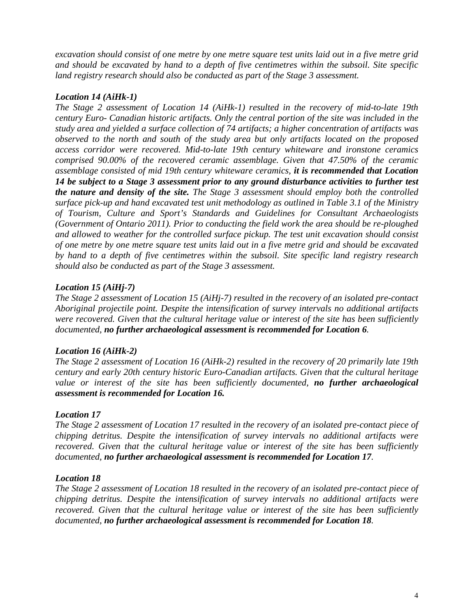*excavation should consist of one metre by one metre square test units laid out in a five metre grid and should be excavated by hand to a depth of five centimetres within the subsoil. Site specific land registry research should also be conducted as part of the Stage 3 assessment.*

## *Location 14 (AiHk-1)*

*The Stage 2 assessment of Location 14 (AiHk-1) resulted in the recovery of mid-to-late 19th century Euro- Canadian historic artifacts. Only the central portion of the site was included in the study area and yielded a surface collection of 74 artifacts; a higher concentration of artifacts was observed to the north and south of the study area but only artifacts located on the proposed access corridor were recovered. Mid-to-late 19th century whiteware and ironstone ceramics comprised 90.00% of the recovered ceramic assemblage. Given that 47.50% of the ceramic assemblage consisted of mid 19th century whiteware ceramics, it is recommended that Location 14 be subject to a Stage 3 assessment prior to any ground disturbance activities to further test the nature and density of the site. The Stage 3 assessment should employ both the controlled surface pick-up and hand excavated test unit methodology as outlined in Table 3.1 of the Ministry of Tourism, Culture and Sport's Standards and Guidelines for Consultant Archaeologists (Government of Ontario 2011). Prior to conducting the field work the area should be re-ploughed and allowed to weather for the controlled surface pickup. The test unit excavation should consist of one metre by one metre square test units laid out in a five metre grid and should be excavated by hand to a depth of five centimetres within the subsoil. Site specific land registry research should also be conducted as part of the Stage 3 assessment.*

# *Location 15 (AiHj-7)*

*The Stage 2 assessment of Location 15 (AiHj-7) resulted in the recovery of an isolated pre-contact Aboriginal projectile point. Despite the intensification of survey intervals no additional artifacts were recovered. Given that the cultural heritage value or interest of the site has been sufficiently documented, no further archaeological assessment is recommended for Location 6.*

# *Location 16 (AiHk-2)*

*The Stage 2 assessment of Location 16 (AiHk-2) resulted in the recovery of 20 primarily late 19th century and early 20th century historic Euro-Canadian artifacts. Given that the cultural heritage value or interest of the site has been sufficiently documented, no further archaeological assessment is recommended for Location 16.*

# *Location 17*

*The Stage 2 assessment of Location 17 resulted in the recovery of an isolated pre-contact piece of chipping detritus. Despite the intensification of survey intervals no additional artifacts were recovered. Given that the cultural heritage value or interest of the site has been sufficiently documented, no further archaeological assessment is recommended for Location 17.*

### *Location 18*

*The Stage 2 assessment of Location 18 resulted in the recovery of an isolated pre-contact piece of chipping detritus. Despite the intensification of survey intervals no additional artifacts were recovered. Given that the cultural heritage value or interest of the site has been sufficiently documented, no further archaeological assessment is recommended for Location 18.*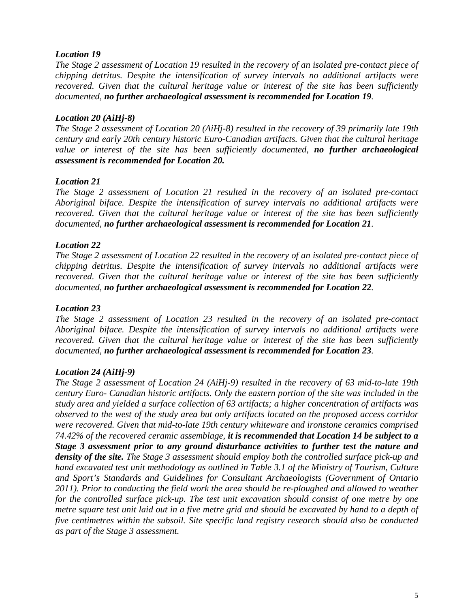### *Location 19*

*The Stage 2 assessment of Location 19 resulted in the recovery of an isolated pre-contact piece of chipping detritus. Despite the intensification of survey intervals no additional artifacts were recovered. Given that the cultural heritage value or interest of the site has been sufficiently documented, no further archaeological assessment is recommended for Location 19.*

### *Location 20 (AiHj-8)*

*The Stage 2 assessment of Location 20 (AiHj-8) resulted in the recovery of 39 primarily late 19th century and early 20th century historic Euro-Canadian artifacts. Given that the cultural heritage value or interest of the site has been sufficiently documented, no further archaeological assessment is recommended for Location 20.*

### *Location 21*

*The Stage 2 assessment of Location 21 resulted in the recovery of an isolated pre-contact Aboriginal biface. Despite the intensification of survey intervals no additional artifacts were recovered. Given that the cultural heritage value or interest of the site has been sufficiently documented, no further archaeological assessment is recommended for Location 21.*

## *Location 22*

*The Stage 2 assessment of Location 22 resulted in the recovery of an isolated pre-contact piece of chipping detritus. Despite the intensification of survey intervals no additional artifacts were recovered. Given that the cultural heritage value or interest of the site has been sufficiently documented, no further archaeological assessment is recommended for Location 22.*

### *Location 23*

*The Stage 2 assessment of Location 23 resulted in the recovery of an isolated pre-contact Aboriginal biface. Despite the intensification of survey intervals no additional artifacts were recovered. Given that the cultural heritage value or interest of the site has been sufficiently documented, no further archaeological assessment is recommended for Location 23.*

### *Location 24 (AiHj-9)*

*The Stage 2 assessment of Location 24 (AiHj-9) resulted in the recovery of 63 mid-to-late 19th century Euro- Canadian historic artifacts. Only the eastern portion of the site was included in the study area and yielded a surface collection of 63 artifacts; a higher concentration of artifacts was observed to the west of the study area but only artifacts located on the proposed access corridor were recovered. Given that mid-to-late 19th century whiteware and ironstone ceramics comprised 74.42% of the recovered ceramic assemblage, it is recommended that Location 14 be subject to a Stage 3 assessment prior to any ground disturbance activities to further test the nature and density of the site. The Stage 3 assessment should employ both the controlled surface pick-up and hand excavated test unit methodology as outlined in Table 3.1 of the Ministry of Tourism, Culture and Sport's Standards and Guidelines for Consultant Archaeologists (Government of Ontario 2011). Prior to conducting the field work the area should be re-ploughed and allowed to weather for the controlled surface pick-up. The test unit excavation should consist of one metre by one metre square test unit laid out in a five metre grid and should be excavated by hand to a depth of five centimetres within the subsoil. Site specific land registry research should also be conducted as part of the Stage 3 assessment.*